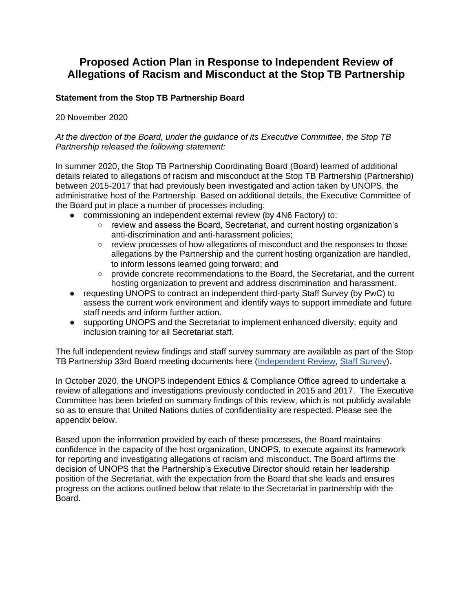# **Proposed Action Plan in Response to Independent Review of Allegations of Racism and Misconduct at the Stop TB Partnership**

## **Statement from the Stop TB Partnership Board**

#### 20 November 2020

*At the direction of the Board, under the guidance of its Executive Committee, the Stop TB Partnership released the following statement:*

In summer 2020, the Stop TB Partnership Coordinating Board (Board) learned of additional details related to allegations of racism and misconduct at the Stop TB Partnership (Partnership) between 2015-2017 that had previously been investigated and action taken by UNOPS, the administrative host of the Partnership. Based on additional details, the Executive Committee of the Board put in place a number of processes including:

- commissioning an independent external review (by 4N6 Factory) to:
	- review and assess the Board, Secretariat, and current hosting organization's anti-discrimination and anti-harassment policies;
	- review processes of how allegations of misconduct and the responses to those allegations by the Partnership and the current hosting organization are handled, to inform lessons learned going forward; and
	- provide concrete recommendations to the Board, the Secretariat, and the current hosting organization to prevent and address discrimination and harassment.
- requesting UNOPS to contract an independent third-party Staff Survey (by PwC) to assess the current work environment and identify ways to support immediate and future staff needs and inform further action.
- supporting UNOPS and the Secretariat to implement enhanced diversity, equity and inclusion training for all Secretariat staff.

The full independent review findings and staff survey summary are available as part of the Stop TB Partnership 33rd Board meeting documents here [\(Independent Review,](http://stoptb.org/assets/documents/about/cb/meetings/33/33-10%20Independent%20Review%20%E2%80%93%20Report%20Back/33-10.1%20Independent%20Review%20Findings.pdf) [Staff Survey\)](http://stoptb.org/assets/documents/about/cb/meetings/33/33-10%20Independent%20Review%20%E2%80%93%20Report%20Back/33-10.2%20PWC%20Staff%20Pulse%20Survey%20-%20Summary%20deck%20of%20topline%20findings.pdf).

In October 2020, the UNOPS independent Ethics & Compliance Office agreed to undertake a review of allegations and investigations previously conducted in 2015 and 2017. The Executive Committee has been briefed on summary findings of this review, which is not publicly available so as to ensure that United Nations duties of confidentiality are respected. Please see the appendix below.

Based upon the information provided by each of these processes, the Board maintains confidence in the capacity of the host organization, UNOPS, to execute against its framework for reporting and investigating allegations of racism and misconduct. The Board affirms the decision of UNOPS that the Partnership's Executive Director should retain her leadership position of the Secretariat, with the expectation from the Board that she leads and ensures progress on the actions outlined below that relate to the Secretariat in partnership with the Board.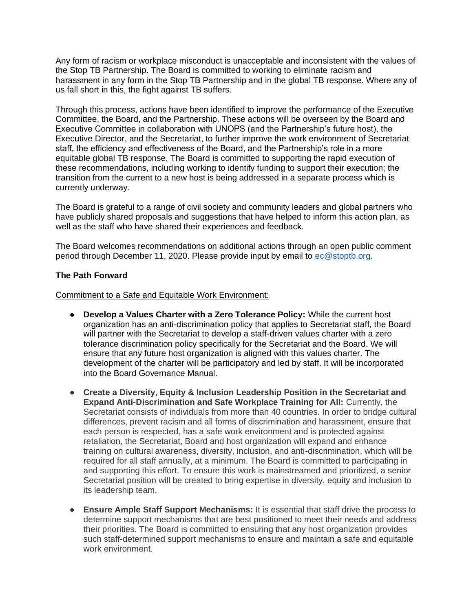Any form of racism or workplace misconduct is unacceptable and inconsistent with the values of the Stop TB Partnership. The Board is committed to working to eliminate racism and harassment in any form in the Stop TB Partnership and in the global TB response. Where any of us fall short in this, the fight against TB suffers.

Through this process, actions have been identified to improve the performance of the Executive Committee, the Board, and the Partnership. These actions will be overseen by the Board and Executive Committee in collaboration with UNOPS (and the Partnership's future host), the Executive Director, and the Secretariat, to further improve the work environment of Secretariat staff, the efficiency and effectiveness of the Board, and the Partnership's role in a more equitable global TB response. The Board is committed to supporting the rapid execution of these recommendations, including working to identify funding to support their execution; the transition from the current to a new host is being addressed in a separate process which is currently underway.

The Board is grateful to a range of civil society and community leaders and global partners who have publicly shared proposals and suggestions that have helped to inform this action plan, as well as the staff who have shared their experiences and feedback.

The Board welcomes recommendations on additional actions through an open public comment period through December 11, 2020. Please provide input by email to [ec@stoptb.org.](mailto:ec@stoptb.org)

#### **The Path Forward**

Commitment to a Safe and Equitable Work Environment:

- **Develop a Values Charter with a Zero Tolerance Policy:** While the current host organization has an anti-discrimination policy that applies to Secretariat staff, the Board will partner with the Secretariat to develop a staff-driven values charter with a zero tolerance discrimination policy specifically for the Secretariat and the Board. We will ensure that any future host organization is aligned with this values charter. The development of the charter will be participatory and led by staff. It will be incorporated into the Board Governance Manual.
- **Create a Diversity, Equity & Inclusion Leadership Position in the Secretariat and Expand Anti-Discrimination and Safe Workplace Training for All:** Currently, the Secretariat consists of individuals from more than 40 countries. In order to bridge cultural differences, prevent racism and all forms of discrimination and harassment, ensure that each person is respected, has a safe work environment and is protected against retaliation, the Secretariat, Board and host organization will expand and enhance training on cultural awareness, diversity, inclusion, and anti-discrimination, which will be required for all staff annually, at a minimum. The Board is committed to participating in and supporting this effort. To ensure this work is mainstreamed and prioritized, a senior Secretariat position will be created to bring expertise in diversity, equity and inclusion to its leadership team.
- **Ensure Ample Staff Support Mechanisms:** It is essential that staff drive the process to determine support mechanisms that are best positioned to meet their needs and address their priorities. The Board is committed to ensuring that any host organization provides such staff-determined support mechanisms to ensure and maintain a safe and equitable work environment.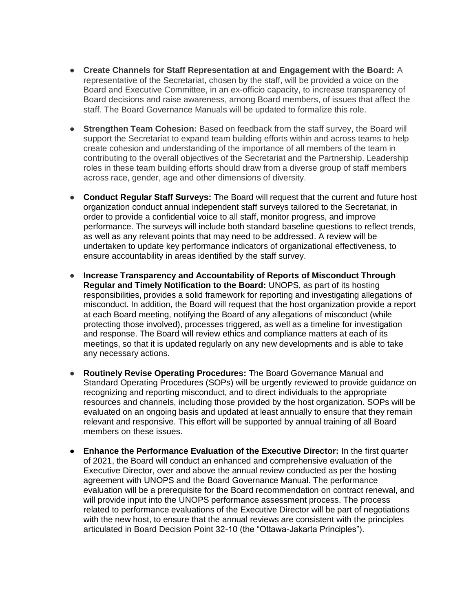- **Create Channels for Staff Representation at and Engagement with the Board:** A representative of the Secretariat, chosen by the staff, will be provided a voice on the Board and Executive Committee, in an ex-officio capacity, to increase transparency of Board decisions and raise awareness, among Board members, of issues that affect the staff. The Board Governance Manuals will be updated to formalize this role.
- **Strengthen Team Cohesion:** Based on feedback from the staff survey, the Board will support the Secretariat to expand team building efforts within and across teams to help create cohesion and understanding of the importance of all members of the team in contributing to the overall objectives of the Secretariat and the Partnership. Leadership roles in these team building efforts should draw from a diverse group of staff members across race, gender, age and other dimensions of diversity.
- **Conduct Regular Staff Surveys:** The Board will request that the current and future host organization conduct annual independent staff surveys tailored to the Secretariat, in order to provide a confidential voice to all staff, monitor progress, and improve performance. The surveys will include both standard baseline questions to reflect trends, as well as any relevant points that may need to be addressed. A review will be undertaken to update key performance indicators of organizational effectiveness, to ensure accountability in areas identified by the staff survey.
- **Increase Transparency and Accountability of Reports of Misconduct Through Regular and Timely Notification to the Board:** UNOPS, as part of its hosting responsibilities, provides a solid framework for reporting and investigating allegations of misconduct. In addition, the Board will request that the host organization provide a report at each Board meeting, notifying the Board of any allegations of misconduct (while protecting those involved), processes triggered, as well as a timeline for investigation and response. The Board will review ethics and compliance matters at each of its meetings, so that it is updated regularly on any new developments and is able to take any necessary actions.
- **Routinely Revise Operating Procedures:** The Board Governance Manual and Standard Operating Procedures (SOPs) will be urgently reviewed to provide guidance on recognizing and reporting misconduct, and to direct individuals to the appropriate resources and channels, including those provided by the host organization. SOPs will be evaluated on an ongoing basis and updated at least annually to ensure that they remain relevant and responsive. This effort will be supported by annual training of all Board members on these issues.
- **Enhance the Performance Evaluation of the Executive Director:** In the first quarter of 2021, the Board will conduct an enhanced and comprehensive evaluation of the Executive Director, over and above the annual review conducted as per the hosting agreement with UNOPS and the Board Governance Manual. The performance evaluation will be a prerequisite for the Board recommendation on contract renewal, and will provide input into the UNOPS performance assessment process. The process related to performance evaluations of the Executive Director will be part of negotiations with the new host, to ensure that the annual reviews are consistent with the principles articulated in Board Decision Point 32-10 (the "Ottawa-Jakarta Principles").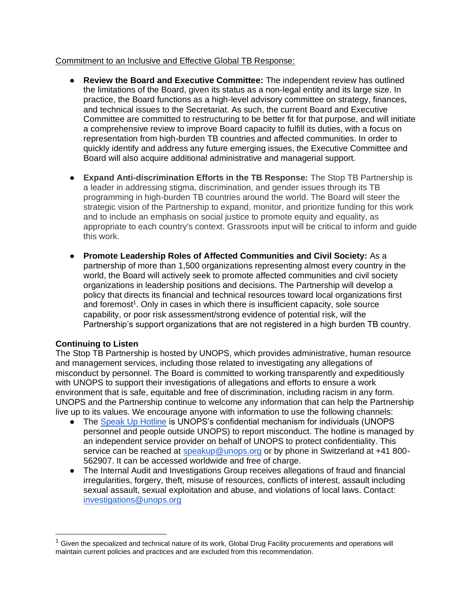## Commitment to an Inclusive and Effective Global TB Response:

- **Review the Board and Executive Committee:** The independent review has outlined the limitations of the Board, given its status as a non-legal entity and its large size. In practice, the Board functions as a high-level advisory committee on strategy, finances, and technical issues to the Secretariat. As such, the current Board and Executive Committee are committed to restructuring to be better fit for that purpose, and will initiate a comprehensive review to improve Board capacity to fulfill its duties, with a focus on representation from high-burden TB countries and affected communities. In order to quickly identify and address any future emerging issues, the Executive Committee and Board will also acquire additional administrative and managerial support.
- **Expand Anti-discrimination Efforts in the TB Response:** The Stop TB Partnership is a leader in addressing stigma, discrimination, and gender issues through its TB programming in high-burden TB countries around the world. The Board will steer the strategic vision of the Partnership to expand, monitor, and prioritize funding for this work and to include an emphasis on social justice to promote equity and equality, as appropriate to each country's context. Grassroots input will be critical to inform and guide this work.
- **Promote Leadership Roles of Affected Communities and Civil Society:** As a partnership of more than 1,500 organizations representing almost every country in the world, the Board will actively seek to promote affected communities and civil society organizations in leadership positions and decisions. The Partnership will develop a policy that directs its financial and technical resources toward local organizations first and foremost<sup>1</sup>. Only in cases in which there is insufficient capacity, sole source capability, or poor risk assessment/strong evidence of potential risk, will the Partnership's support organizations that are not registered in a high burden TB country.

# **Continuing to Listen**

The Stop TB Partnership is hosted by UNOPS, which provides administrative, human resource and management services, including those related to investigating any allegations of misconduct by personnel. The Board is committed to working transparently and expeditiously with UNOPS to support their investigations of allegations and efforts to ensure a work environment that is safe, equitable and free of discrimination, including racism in any form. UNOPS and the Partnership continue to welcome any information that can help the Partnership live up to its values. We encourage anyone with information to use the following channels:

- Th[e](https://secure.ethicspoint.eu/domain/en/default_reporter.asp) [Speak Up Hotline](https://secure.ethicspoint.eu/domain/en/default_reporter.asp) is UNOPS's confidential mechanism for individuals (UNOPS) personnel and people outside UNOPS) to report misconduct. The hotline is managed by an independent service provider on behalf of UNOPS to protect confidentiality. This service can be reached at [speakup@unops.org](mailto:speakup@unops.org) or by phone in Switzerland at +41 800-562907. It can be accessed worldwide and free of charge.
- The Internal Audit and Investigations Group receives allegations of fraud and financial irregularities, forgery, theft, misuse of resources, conflicts of interest, assault including sexual assault, sexual exploitation and abuse, and violations of local laws. Contact: [investigations@unops.org](mailto:investigations@unops.org)

 $1$  Given the specialized and technical nature of its work, Global Drug Facility procurements and operations will maintain current policies and practices and are excluded from this recommendation.